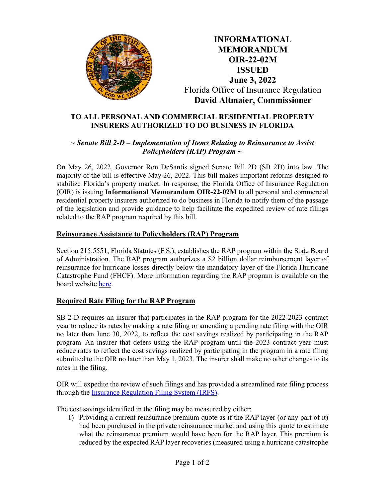

**INFORMATIONAL MEMORANDUM OIR-22-02M ISSUED June 3, 2022** Florida Office of Insurance Regulation **David Altmaier, Commissioner**

## **TO ALL PERSONAL AND COMMERCIAL RESIDENTIAL PROPERTY INSURERS AUTHORIZED TO DO BUSINESS IN FLORIDA**

## *~ Senate Bill 2-D – Implementation of Items Relating to Reinsurance to Assist Policyholders (RAP) Program ~*

On May 26, 2022, Governor Ron DeSantis signed Senate Bill 2D (SB 2D) into law. The majority of the bill is effective May 26, 2022. This bill makes important reforms designed to stabilize Florida's property market. In response, the Florida Office of Insurance Regulation (OIR) is issuing **Informational Memorandum OIR-22-02M** to all personal and commercial residential property insurers authorized to do business in Florida to notify them of the passage of the legislation and provide guidance to help facilitate the expedited review of rate filings related to the RAP program required by this bill.

## **Reinsurance Assistance to Policyholders (RAP) Program**

Section 215.5551, Florida Statutes (F.S.), establishes the RAP program within the State Board of Administration. The RAP program authorizes a \$2 billion dollar reimbursement layer of reinsurance for hurricane losses directly below the mandatory layer of the Florida Hurricane Catastrophe Fund (FHCF). More information regarding the RAP program is available on the board website [here.](https://www.sbafla.com/fsb/Home/RAP.aspx)

## **Required Rate Filing for the RAP Program**

SB 2-D requires an insurer that participates in the RAP program for the 2022-2023 contract year to reduce its rates by making a rate filing or amending a pending rate filing with the OIR no later than June 30, 2022, to reflect the cost savings realized by participating in the RAP program. An insurer that defers using the RAP program until the 2023 contract year must reduce rates to reflect the cost savings realized by participating in the program in a rate filing submitted to the OIR no later than May 1, 2023. The insurer shall make no other changes to its rates in the filing.

OIR will expedite the review of such filings and has provided a streamlined rate filing process through the [Insurance Regulation Filing System \(IRFS\).](https://floir.com/iportal)

The cost savings identified in the filing may be measured by either:

1) Providing a current reinsurance premium quote as if the RAP layer (or any part of it) had been purchased in the private reinsurance market and using this quote to estimate what the reinsurance premium would have been for the RAP layer. This premium is reduced by the expected RAP layer recoveries (measured using a hurricane catastrophe